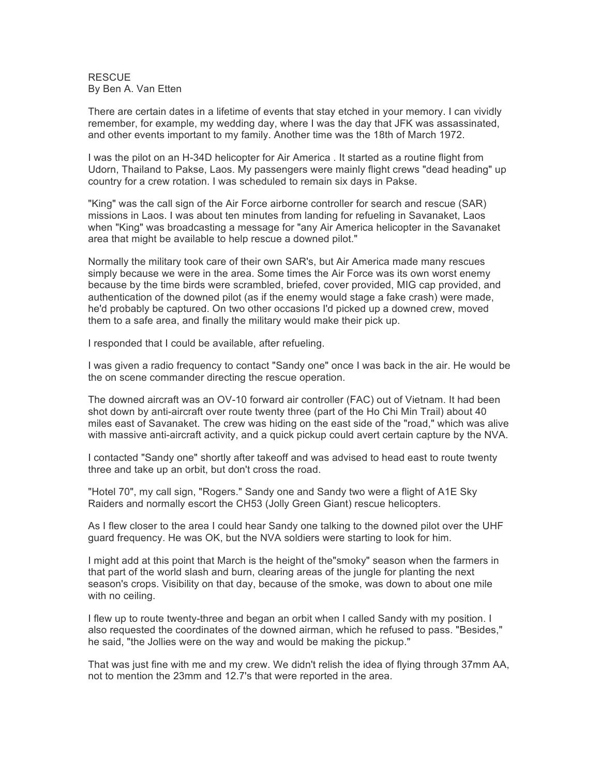**RESCUE** By Ben A. Van Etten

There are certain dates in a lifetime of events that stay etched in your memory. I can vividly remember, for example, my wedding day, where I was the day that JFK was assassinated, and other events important to my family. Another time was the 18th of March 1972.

I was the pilot on an H-34D helicopter for Air America . It started as a routine flight from Udorn, Thailand to Pakse, Laos. My passengers were mainly flight crews "dead heading" up country for a crew rotation. I was scheduled to remain six days in Pakse.

"King" was the call sign of the Air Force airborne controller for search and rescue (SAR) missions in Laos. I was about ten minutes from landing for refueling in Savanaket, Laos when "King" was broadcasting a message for "any Air America helicopter in the Savanaket area that might be available to help rescue a downed pilot."

Normally the military took care of their own SAR's, but Air America made many rescues simply because we were in the area. Some times the Air Force was its own worst enemy because by the time birds were scrambled, briefed, cover provided, MIG cap provided, and authentication of the downed pilot (as if the enemy would stage a fake crash) were made, he'd probably be captured. On two other occasions I'd picked up a downed crew, moved them to a safe area, and finally the military would make their pick up.

I responded that I could be available, after refueling.

I was given a radio frequency to contact "Sandy one" once I was back in the air. He would be the on scene commander directing the rescue operation.

The downed aircraft was an OV-10 forward air controller (FAC) out of Vietnam. It had been shot down by anti-aircraft over route twenty three (part of the Ho Chi Min Trail) about 40 miles east of Savanaket. The crew was hiding on the east side of the "road," which was alive with massive anti-aircraft activity, and a quick pickup could avert certain capture by the NVA.

I contacted "Sandy one" shortly after takeoff and was advised to head east to route twenty three and take up an orbit, but don't cross the road.

"Hotel 70", my call sign, "Rogers." Sandy one and Sandy two were a flight of A1E Sky Raiders and normally escort the CH53 (Jolly Green Giant) rescue helicopters.

As I flew closer to the area I could hear Sandy one talking to the downed pilot over the UHF guard frequency. He was OK, but the NVA soldiers were starting to look for him.

I might add at this point that March is the height of the"smoky" season when the farmers in that part of the world slash and burn, clearing areas of the jungle for planting the next season's crops. Visibility on that day, because of the smoke, was down to about one mile with no ceiling.

I flew up to route twenty-three and began an orbit when I called Sandy with my position. I also requested the coordinates of the downed airman, which he refused to pass. "Besides," he said, "the Jollies were on the way and would be making the pickup."

That was just fine with me and my crew. We didn't relish the idea of flying through 37mm AA, not to mention the 23mm and 12.7's that were reported in the area.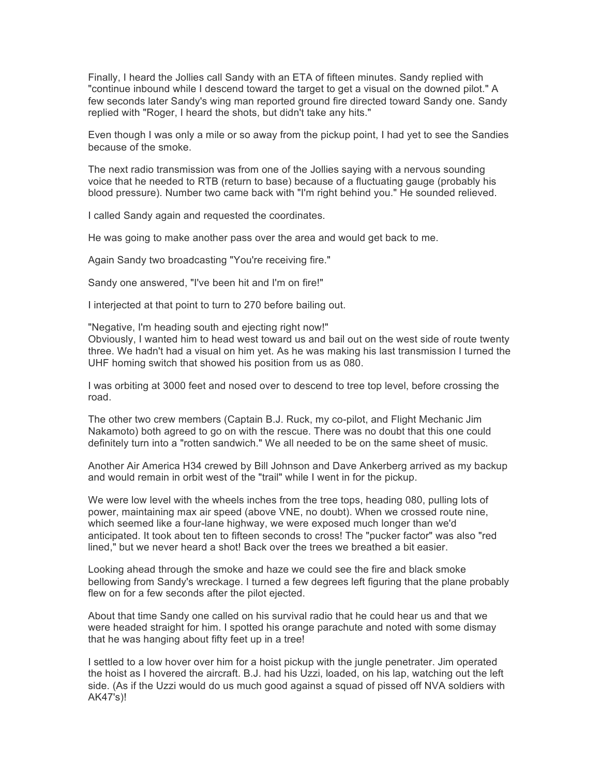Finally, I heard the Jollies call Sandy with an ETA of fifteen minutes. Sandy replied with "continue inbound while I descend toward the target to get a visual on the downed pilot." A few seconds later Sandy's wing man reported ground fire directed toward Sandy one. Sandy replied with "Roger, I heard the shots, but didn't take any hits."

Even though I was only a mile or so away from the pickup point, I had yet to see the Sandies because of the smoke.

The next radio transmission was from one of the Jollies saying with a nervous sounding voice that he needed to RTB (return to base) because of a fluctuating gauge (probably his blood pressure). Number two came back with "I'm right behind you." He sounded relieved.

I called Sandy again and requested the coordinates.

He was going to make another pass over the area and would get back to me.

Again Sandy two broadcasting "You're receiving fire."

Sandy one answered, "I've been hit and I'm on fire!"

I interjected at that point to turn to 270 before bailing out.

"Negative, I'm heading south and ejecting right now!"

Obviously, I wanted him to head west toward us and bail out on the west side of route twenty three. We hadn't had a visual on him yet. As he was making his last transmission I turned the UHF homing switch that showed his position from us as 080.

I was orbiting at 3000 feet and nosed over to descend to tree top level, before crossing the road.

The other two crew members (Captain B.J. Ruck, my co-pilot, and Flight Mechanic Jim Nakamoto) both agreed to go on with the rescue. There was no doubt that this one could definitely turn into a "rotten sandwich." We all needed to be on the same sheet of music.

Another Air America H34 crewed by Bill Johnson and Dave Ankerberg arrived as my backup and would remain in orbit west of the "trail" while I went in for the pickup.

We were low level with the wheels inches from the tree tops, heading 080, pulling lots of power, maintaining max air speed (above VNE, no doubt). When we crossed route nine, which seemed like a four-lane highway, we were exposed much longer than we'd anticipated. It took about ten to fifteen seconds to cross! The "pucker factor" was also "red lined," but we never heard a shot! Back over the trees we breathed a bit easier.

Looking ahead through the smoke and haze we could see the fire and black smoke bellowing from Sandy's wreckage. I turned a few degrees left figuring that the plane probably flew on for a few seconds after the pilot ejected.

About that time Sandy one called on his survival radio that he could hear us and that we were headed straight for him. I spotted his orange parachute and noted with some dismay that he was hanging about fifty feet up in a tree!

I settled to a low hover over him for a hoist pickup with the jungle penetrater. Jim operated the hoist as I hovered the aircraft. B.J. had his Uzzi, loaded, on his lap, watching out the left side. (As if the Uzzi would do us much good against a squad of pissed off NVA soldiers with AK47's)!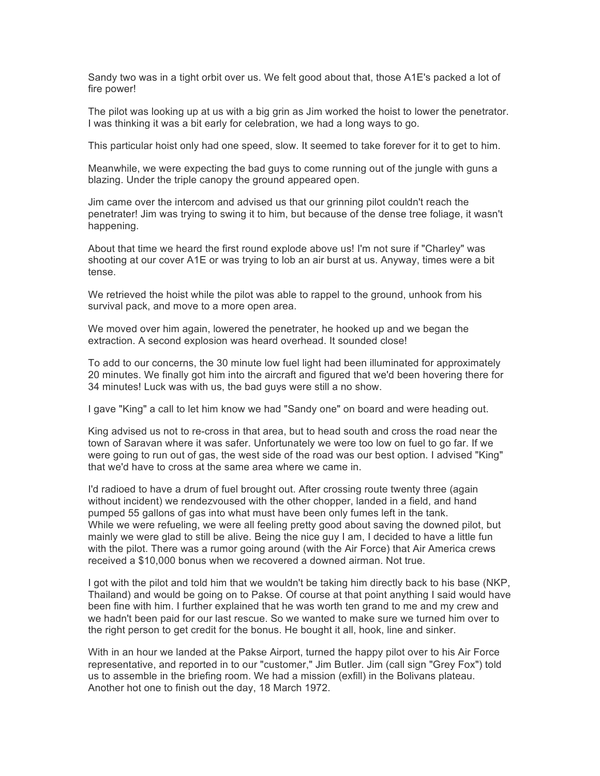Sandy two was in a tight orbit over us. We felt good about that, those A1E's packed a lot of fire power!

The pilot was looking up at us with a big grin as Jim worked the hoist to lower the penetrator. I was thinking it was a bit early for celebration, we had a long ways to go.

This particular hoist only had one speed, slow. It seemed to take forever for it to get to him.

Meanwhile, we were expecting the bad guys to come running out of the jungle with guns a blazing. Under the triple canopy the ground appeared open.

Jim came over the intercom and advised us that our grinning pilot couldn't reach the penetrater! Jim was trying to swing it to him, but because of the dense tree foliage, it wasn't happening.

About that time we heard the first round explode above us! I'm not sure if "Charley" was shooting at our cover A1E or was trying to lob an air burst at us. Anyway, times were a bit tense.

We retrieved the hoist while the pilot was able to rappel to the ground, unhook from his survival pack, and move to a more open area.

We moved over him again, lowered the penetrater, he hooked up and we began the extraction. A second explosion was heard overhead. It sounded close!

To add to our concerns, the 30 minute low fuel light had been illuminated for approximately 20 minutes. We finally got him into the aircraft and figured that we'd been hovering there for 34 minutes! Luck was with us, the bad guys were still a no show.

I gave "King" a call to let him know we had "Sandy one" on board and were heading out.

King advised us not to re-cross in that area, but to head south and cross the road near the town of Saravan where it was safer. Unfortunately we were too low on fuel to go far. If we were going to run out of gas, the west side of the road was our best option. I advised "King" that we'd have to cross at the same area where we came in.

I'd radioed to have a drum of fuel brought out. After crossing route twenty three (again without incident) we rendezvoused with the other chopper, landed in a field, and hand pumped 55 gallons of gas into what must have been only fumes left in the tank. While we were refueling, we were all feeling pretty good about saving the downed pilot, but mainly we were glad to still be alive. Being the nice guy I am, I decided to have a little fun with the pilot. There was a rumor going around (with the Air Force) that Air America crews received a \$10,000 bonus when we recovered a downed airman. Not true.

I got with the pilot and told him that we wouldn't be taking him directly back to his base (NKP, Thailand) and would be going on to Pakse. Of course at that point anything I said would have been fine with him. I further explained that he was worth ten grand to me and my crew and we hadn't been paid for our last rescue. So we wanted to make sure we turned him over to the right person to get credit for the bonus. He bought it all, hook, line and sinker.

With in an hour we landed at the Pakse Airport, turned the happy pilot over to his Air Force representative, and reported in to our "customer," Jim Butler. Jim (call sign "Grey Fox") told us to assemble in the briefing room. We had a mission (exfill) in the Bolivans plateau. Another hot one to finish out the day, 18 March 1972.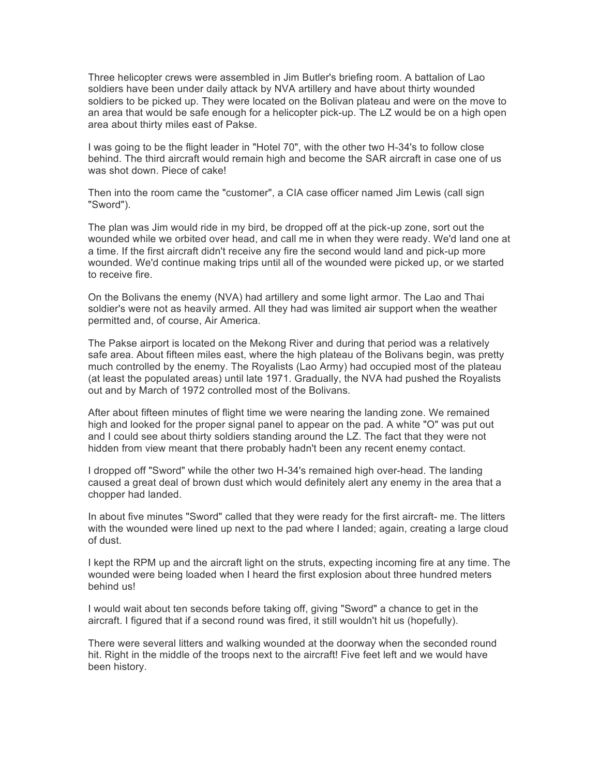Three helicopter crews were assembled in Jim Butler's briefing room. A battalion of Lao soldiers have been under daily attack by NVA artillery and have about thirty wounded soldiers to be picked up. They were located on the Bolivan plateau and were on the move to an area that would be safe enough for a helicopter pick-up. The LZ would be on a high open area about thirty miles east of Pakse.

I was going to be the flight leader in "Hotel 70", with the other two H-34's to follow close behind. The third aircraft would remain high and become the SAR aircraft in case one of us was shot down. Piece of cake!

Then into the room came the "customer", a CIA case officer named Jim Lewis (call sign "Sword").

The plan was Jim would ride in my bird, be dropped off at the pick-up zone, sort out the wounded while we orbited over head, and call me in when they were ready. We'd land one at a time. If the first aircraft didn't receive any fire the second would land and pick-up more wounded. We'd continue making trips until all of the wounded were picked up, or we started to receive fire.

On the Bolivans the enemy (NVA) had artillery and some light armor. The Lao and Thai soldier's were not as heavily armed. All they had was limited air support when the weather permitted and, of course, Air America.

The Pakse airport is located on the Mekong River and during that period was a relatively safe area. About fifteen miles east, where the high plateau of the Bolivans begin, was pretty much controlled by the enemy. The Royalists (Lao Army) had occupied most of the plateau (at least the populated areas) until late 1971. Gradually, the NVA had pushed the Royalists out and by March of 1972 controlled most of the Bolivans.

After about fifteen minutes of flight time we were nearing the landing zone. We remained high and looked for the proper signal panel to appear on the pad. A white "O" was put out and I could see about thirty soldiers standing around the LZ. The fact that they were not hidden from view meant that there probably hadn't been any recent enemy contact.

I dropped off "Sword" while the other two H-34's remained high over-head. The landing caused a great deal of brown dust which would definitely alert any enemy in the area that a chopper had landed.

In about five minutes "Sword" called that they were ready for the first aircraft- me. The litters with the wounded were lined up next to the pad where I landed; again, creating a large cloud of dust.

I kept the RPM up and the aircraft light on the struts, expecting incoming fire at any time. The wounded were being loaded when I heard the first explosion about three hundred meters behind us!

I would wait about ten seconds before taking off, giving "Sword" a chance to get in the aircraft. I figured that if a second round was fired, it still wouldn't hit us (hopefully).

There were several litters and walking wounded at the doorway when the seconded round hit. Right in the middle of the troops next to the aircraft! Five feet left and we would have been history.